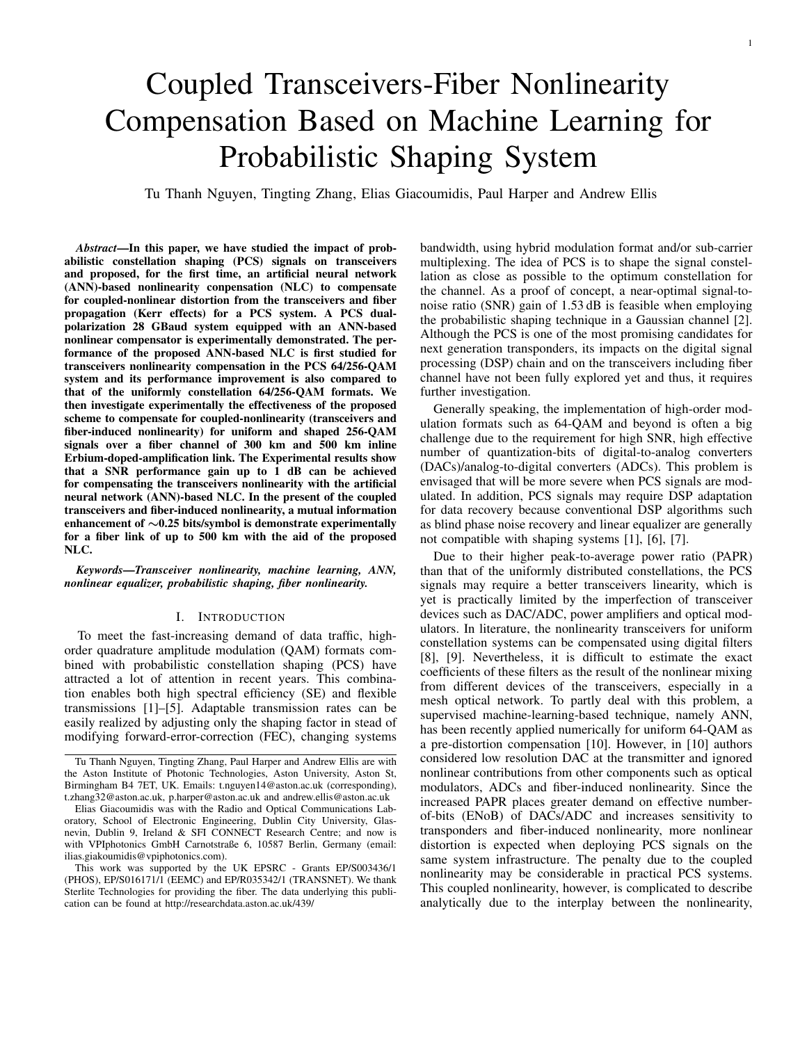# Coupled Transceivers-Fiber Nonlinearity Compensation Based on Machine Learning for Probabilistic Shaping System

Tu Thanh Nguyen, Tingting Zhang, Elias Giacoumidis, Paul Harper and Andrew Ellis

*Abstract*—In this paper, we have studied the impact of probabilistic constellation shaping (PCS) signals on transceivers and proposed, for the first time, an artificial neural network (ANN)-based nonlinearity conpensation (NLC) to compensate for coupled-nonlinear distortion from the transceivers and fiber propagation (Kerr effects) for a PCS system. A PCS dualpolarization 28 GBaud system equipped with an ANN-based nonlinear compensator is experimentally demonstrated. The performance of the proposed ANN-based NLC is first studied for transceivers nonlinearity compensation in the PCS 64/256-QAM system and its performance improvement is also compared to that of the uniformly constellation 64/256-QAM formats. We then investigate experimentally the effectiveness of the proposed scheme to compensate for coupled-nonlinearity (transceivers and fiber-induced nonlinearity) for uniform and shaped 256-QAM signals over a fiber channel of 300 km and 500 km inline Erbium-doped-amplification link. The Experimental results show that a SNR performance gain up to 1 dB can be achieved for compensating the transceivers nonlinearity with the artificial neural network (ANN)-based NLC. In the present of the coupled transceivers and fiber-induced nonlinearity, a mutual information enhancement of ∼0.25 bits/symbol is demonstrate experimentally for a fiber link of up to 500 km with the aid of the proposed NLC.

*Keywords*—*Transceiver nonlinearity, machine learning, ANN, nonlinear equalizer, probabilistic shaping, fiber nonlinearity.*

#### I. INTRODUCTION

To meet the fast-increasing demand of data traffic, highorder quadrature amplitude modulation (QAM) formats combined with probabilistic constellation shaping (PCS) have attracted a lot of attention in recent years. This combination enables both high spectral efficiency (SE) and flexible transmissions [1]–[5]. Adaptable transmission rates can be easily realized by adjusting only the shaping factor in stead of modifying forward-error-correction (FEC), changing systems

bandwidth, using hybrid modulation format and/or sub-carrier multiplexing. The idea of PCS is to shape the signal constellation as close as possible to the optimum constellation for the channel. As a proof of concept, a near-optimal signal-tonoise ratio (SNR) gain of 1.53 dB is feasible when employing the probabilistic shaping technique in a Gaussian channel [2]. Although the PCS is one of the most promising candidates for next generation transponders, its impacts on the digital signal processing (DSP) chain and on the transceivers including fiber channel have not been fully explored yet and thus, it requires further investigation.

Generally speaking, the implementation of high-order modulation formats such as 64-QAM and beyond is often a big challenge due to the requirement for high SNR, high effective number of quantization-bits of digital-to-analog converters (DACs)/analog-to-digital converters (ADCs). This problem is envisaged that will be more severe when PCS signals are modulated. In addition, PCS signals may require DSP adaptation for data recovery because conventional DSP algorithms such as blind phase noise recovery and linear equalizer are generally not compatible with shaping systems [1], [6], [7].

Due to their higher peak-to-average power ratio (PAPR) than that of the uniformly distributed constellations, the PCS signals may require a better transceivers linearity, which is yet is practically limited by the imperfection of transceiver devices such as DAC/ADC, power amplifiers and optical modulators. In literature, the nonlinearity transceivers for uniform constellation systems can be compensated using digital filters [8], [9]. Nevertheless, it is difficult to estimate the exact coefficients of these filters as the result of the nonlinear mixing from different devices of the transceivers, especially in a mesh optical network. To partly deal with this problem, a supervised machine-learning-based technique, namely ANN, has been recently applied numerically for uniform 64-QAM as a pre-distortion compensation [10]. However, in [10] authors considered low resolution DAC at the transmitter and ignored nonlinear contributions from other components such as optical modulators, ADCs and fiber-induced nonlinearity. Since the increased PAPR places greater demand on effective numberof-bits (ENoB) of DACs/ADC and increases sensitivity to transponders and fiber-induced nonlinearity, more nonlinear distortion is expected when deploying PCS signals on the same system infrastructure. The penalty due to the coupled nonlinearity may be considerable in practical PCS systems. This coupled nonlinearity, however, is complicated to describe analytically due to the interplay between the nonlinearity,

Tu Thanh Nguyen, Tingting Zhang, Paul Harper and Andrew Ellis are with the Aston Institute of Photonic Technologies, Aston University, Aston St, Birmingham B4 7ET, UK. Emails: t.nguyen14@aston.ac.uk (corresponding), t.zhang32@aston.ac.uk, p.harper@aston.ac.uk and andrew.ellis@aston.ac.uk

Elias Giacoumidis was with the Radio and Optical Communications Laboratory, School of Electronic Engineering, Dublin City University, Glasnevin, Dublin 9, Ireland & SFI CONNECT Research Centre; and now is with VPIphotonics GmbH Carnotstraße 6, 10587 Berlin, Germany (email: ilias.giakoumidis@vpiphotonics.com).

This work was supported by the UK EPSRC - Grants EP/S003436/1 (PHOS), EP/S016171/1 (EEMC) and EP/R035342/1 (TRANSNET). We thank Sterlite Technologies for providing the fiber. The data underlying this publication can be found at http://researchdata.aston.ac.uk/439/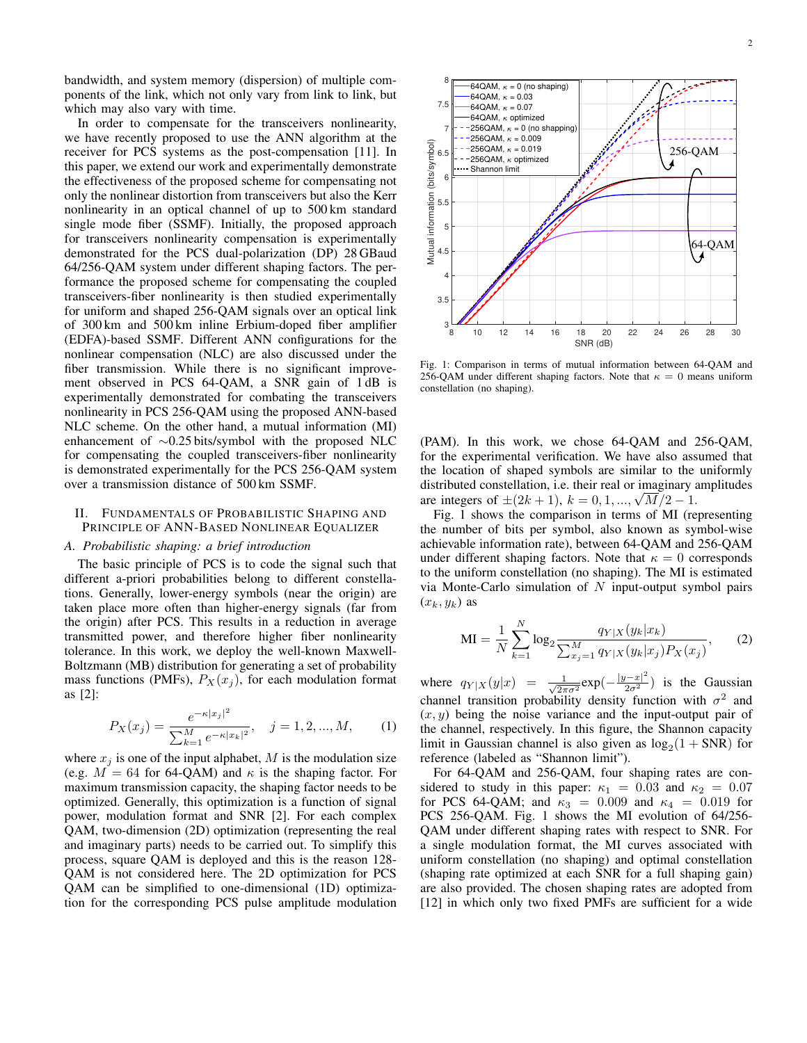bandwidth, and system memory (dispersion) of multiple components of the link, which not only vary from link to link, but which may also vary with time.

In order to compensate for the transceivers nonlinearity, we have recently proposed to use the ANN algorithm at the receiver for PCS systems as the post-compensation [11]. In this paper, we extend our work and experimentally demonstrate the effectiveness of the proposed scheme for compensating not only the nonlinear distortion from transceivers but also the Kerr nonlinearity in an optical channel of up to 500 km standard single mode fiber (SSMF). Initially, the proposed approach for transceivers nonlinearity compensation is experimentally demonstrated for the PCS dual-polarization (DP) 28 GBaud 64/256-QAM system under different shaping factors. The performance the proposed scheme for compensating the coupled transceivers-fiber nonlinearity is then studied experimentally for uniform and shaped 256-QAM signals over an optical link of 300 km and 500 km inline Erbium-doped fiber amplifier (EDFA)-based SSMF. Different ANN configurations for the nonlinear compensation (NLC) are also discussed under the fiber transmission. While there is no significant improvement observed in PCS 64-QAM, a SNR gain of 1 dB is experimentally demonstrated for combating the transceivers nonlinearity in PCS 256-QAM using the proposed ANN-based NLC scheme. On the other hand, a mutual information (MI) enhancement of ∼0.25 bits/symbol with the proposed NLC for compensating the coupled transceivers-fiber nonlinearity is demonstrated experimentally for the PCS 256-QAM system over a transmission distance of 500 km SSMF.

# II. FUNDAMENTALS OF PROBABILISTIC SHAPING AND PRINCIPLE OF ANN-BASED NONLINEAR EQUALIZER

#### *A. Probabilistic shaping: a brief introduction*

The basic principle of PCS is to code the signal such that different a-priori probabilities belong to different constellations. Generally, lower-energy symbols (near the origin) are taken place more often than higher-energy signals (far from the origin) after PCS. This results in a reduction in average transmitted power, and therefore higher fiber nonlinearity tolerance. In this work, we deploy the well-known Maxwell-Boltzmann (MB) distribution for generating a set of probability mass functions (PMFs),  $P_X(x_i)$ , for each modulation format as [2]:

$$
P_X(x_j) = \frac{e^{-\kappa |x_j|^2}}{\sum_{k=1}^M e^{-\kappa |x_k|^2}}, \quad j = 1, 2, ..., M,
$$
 (1)

where  $x_j$  is one of the input alphabet, M is the modulation size (e.g.  $M = 64$  for 64-QAM) and  $\kappa$  is the shaping factor. For maximum transmission capacity, the shaping factor needs to be optimized. Generally, this optimization is a function of signal power, modulation format and SNR [2]. For each complex QAM, two-dimension (2D) optimization (representing the real and imaginary parts) needs to be carried out. To simplify this process, square QAM is deployed and this is the reason 128- QAM is not considered here. The 2D optimization for PCS QAM can be simplified to one-dimensional (1D) optimization for the corresponding PCS pulse amplitude modulation



Fig. 1: Comparison in terms of mutual information between 64-QAM and 256-QAM under different shaping factors. Note that  $\kappa = 0$  means uniform constellation (no shaping).

(PAM). In this work, we chose 64-QAM and 256-QAM, for the experimental verification. We have also assumed that the location of shaped symbols are similar to the uniformly distributed constellation, i.e. their real or imaginary amplitudes distributed constellation, i.e. their real or imaginary are integers of  $\pm(2k+1)$ ,  $k = 0, 1, ..., \sqrt{M/2} - 1$ .

Fig. 1 shows the comparison in terms of MI (representing the number of bits per symbol, also known as symbol-wise achievable information rate), between 64-QAM and 256-QAM under different shaping factors. Note that  $\kappa = 0$  corresponds to the uniform constellation (no shaping). The MI is estimated via Monte-Carlo simulation of  $N$  input-output symbol pairs  $(x_k, y_k)$  as

N

$$
\text{MI} = \frac{1}{N} \sum_{k=1}^{N} \log_2 \frac{q_{Y|X}(y_k|x_k)}{\sum_{x_j=1}^{M} q_{Y|X}(y_k|x_j) P_X(x_j)},\tag{2}
$$

where  $q_{Y|X}(y|x) = \frac{1}{\sqrt{2\pi}}$  $\frac{1}{2\pi\sigma^2}$ exp $\left(-\frac{|y-x|^2}{2\sigma^2}\right)$  is the Gaussian channel transition probability density function with  $\sigma^2$  and  $(x, y)$  being the noise variance and the input-output pair of the channel, respectively. In this figure, the Shannon capacity limit in Gaussian channel is also given as  $log_2(1 + SNR)$  for reference (labeled as "Shannon limit").

For 64-QAM and 256-QAM, four shaping rates are considered to study in this paper:  $\kappa_1 = 0.03$  and  $\kappa_2 = 0.07$ for PCS 64-QAM; and  $\kappa_3 = 0.009$  and  $\kappa_4 = 0.019$  for PCS 256-QAM. Fig. 1 shows the MI evolution of 64/256- QAM under different shaping rates with respect to SNR. For a single modulation format, the MI curves associated with uniform constellation (no shaping) and optimal constellation (shaping rate optimized at each SNR for a full shaping gain) are also provided. The chosen shaping rates are adopted from [12] in which only two fixed PMFs are sufficient for a wide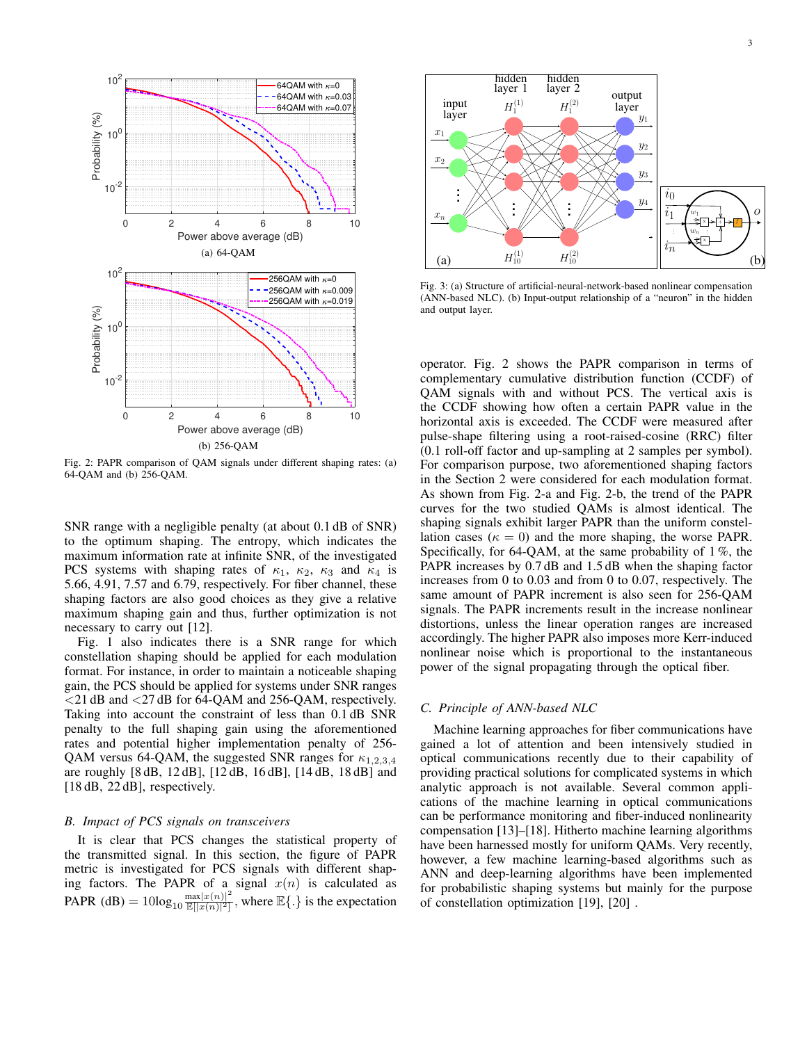

Fig. 2: PAPR comparison of QAM signals under different shaping rates: (a) 64-QAM and (b) 256-QAM.

SNR range with a negligible penalty (at about 0.1 dB of SNR) to the optimum shaping. The entropy, which indicates the maximum information rate at infinite SNR, of the investigated PCS systems with shaping rates of  $\kappa_1$ ,  $\kappa_2$ ,  $\kappa_3$  and  $\kappa_4$  is 5.66, 4.91, 7.57 and 6.79, respectively. For fiber channel, these shaping factors are also good choices as they give a relative maximum shaping gain and thus, further optimization is not necessary to carry out [12].

Fig. 1 also indicates there is a SNR range for which constellation shaping should be applied for each modulation format. For instance, in order to maintain a noticeable shaping gain, the PCS should be applied for systems under SNR ranges <21 dB and <27 dB for 64-QAM and 256-QAM, respectively. Taking into account the constraint of less than 0.1 dB SNR penalty to the full shaping gain using the aforementioned rates and potential higher implementation penalty of 256- QAM versus 64-QAM, the suggested SNR ranges for  $\kappa_{1,2,3,4}$ are roughly [8 dB, 12 dB], [12 dB, 16 dB], [14 dB, 18 dB] and [18 dB, 22 dB], respectively.

# *B. Impact of PCS signals on transceivers*

It is clear that PCS changes the statistical property of the transmitted signal. In this section, the figure of PAPR metric is investigated for PCS signals with different shaping factors. The PAPR of a signal  $x(n)$  is calculated as PAPR (dB) =  $10\log_{10} \frac{\max|x(n)|^2}{\mathbb{E}||x(n)|^2|}$  $\frac{\max|x(n)|^2}{\mathbb{E}(|x(n)|^2)}$ , where  $\mathbb{E}\{\cdot\}$  is the expectation



Fig. 3: (a) Structure of artificial-neural-network-based nonlinear compensation (ANN-based NLC). (b) Input-output relationship of a "neuron" in the hidden and output layer.

curves for the two studied QAMs is almost identical. The operator. Fig. 2 shows the PAPR comparison in terms of complementary cumulative distribution function (CCDF) of QAM signals with and without PCS. The vertical axis is the CCDF showing how often a certain PAPR value in the horizontal axis is exceeded. The CCDF were measured after pulse-shape filtering using a root-raised-cosine (RRC) filter (0.1 roll-off factor and up-sampling at 2 samples per symbol). For comparison purpose, two aforementioned shaping factors in the Section 2 were considered for each modulation format. As shown from Fig. 2-a and Fig. 2-b, the trend of the PAPR shaping signals exhibit larger PAPR than the uniform constellation cases ( $\kappa = 0$ ) and the more shaping, the worse PAPR. Specifically, for  $64$ -QAM, at the same probability of  $1\%$ , the PAPR increases by 0.7 dB and 1.5 dB when the shaping factor increases from 0 to 0.03 and from 0 to 0.07, respectively. The same amount of PAPR increment is also seen for 256-QAM signals. The PAPR increments result in the increase nonlinear distortions, unless the linear operation ranges are increased accordingly. The higher PAPR also imposes more Kerr-induced nonlinear noise which is proportional to the instantaneous power of the signal propagating through the optical fiber.

# *C. Principle of ANN-based NLC*

Machine learning approaches for fiber communications have gained a lot of attention and been intensively studied in optical communications recently due to their capability of providing practical solutions for complicated systems in which analytic approach is not available. Several common applications of the machine learning in optical communications can be performance monitoring and fiber-induced nonlinearity compensation [13]–[18]. Hitherto machine learning algorithms have been harnessed mostly for uniform QAMs. Very recently, however, a few machine learning-based algorithms such as ANN and deep-learning algorithms have been implemented for probabilistic shaping systems but mainly for the purpose of constellation optimization [19], [20] .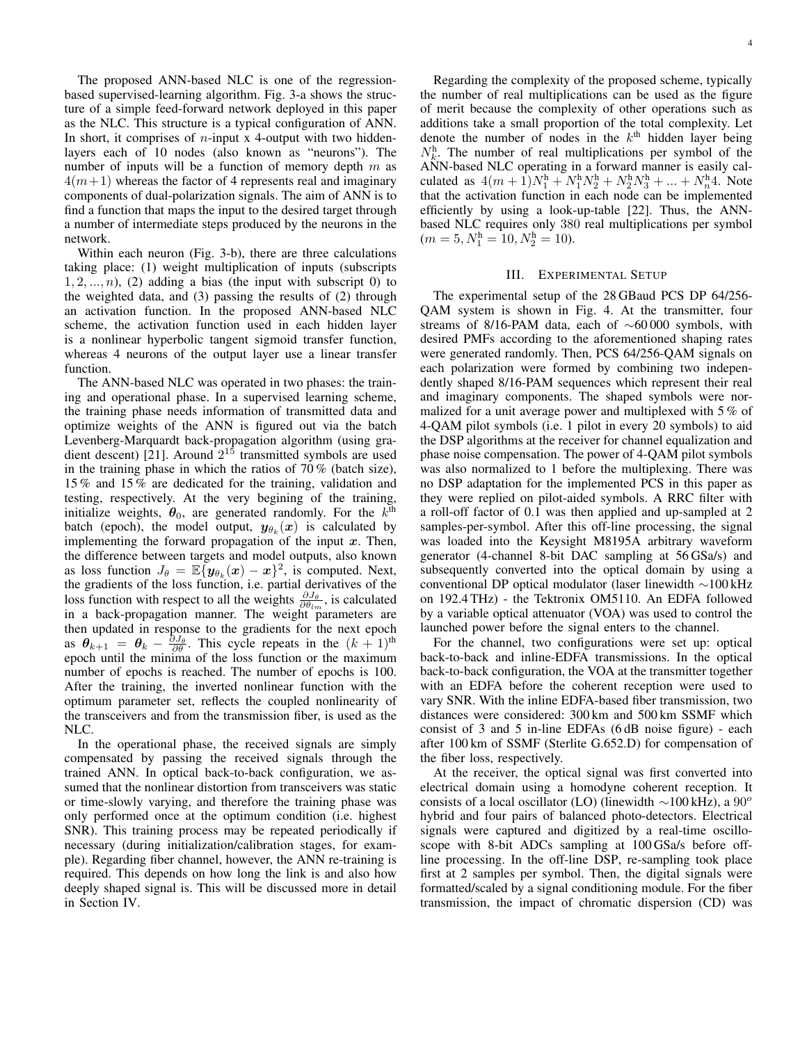The proposed ANN-based NLC is one of the regressionbased supervised-learning algorithm. Fig. 3-a shows the structure of a simple feed-forward network deployed in this paper as the NLC. This structure is a typical configuration of ANN. In short, it comprises of  $n$ -input x 4-output with two hiddenlayers each of 10 nodes (also known as "neurons"). The number of inputs will be a function of memory depth  $m$  as  $4(m+1)$  whereas the factor of 4 represents real and imaginary components of dual-polarization signals. The aim of ANN is to find a function that maps the input to the desired target through a number of intermediate steps produced by the neurons in the network.

Within each neuron (Fig. 3-b), there are three calculations taking place: (1) weight multiplication of inputs (subscripts  $1, 2, \ldots, n$ , (2) adding a bias (the input with subscript 0) to the weighted data, and (3) passing the results of (2) through an activation function. In the proposed ANN-based NLC scheme, the activation function used in each hidden layer is a nonlinear hyperbolic tangent sigmoid transfer function, whereas 4 neurons of the output layer use a linear transfer function.

The ANN-based NLC was operated in two phases: the training and operational phase. In a supervised learning scheme, the training phase needs information of transmitted data and optimize weights of the ANN is figured out via the batch Levenberg-Marquardt back-propagation algorithm (using gradient descent) [21]. Around  $2^{15}$  transmitted symbols are used in the training phase in which the ratios of  $70\%$  (batch size), 15 % and 15 % are dedicated for the training, validation and testing, respectively. At the very begining of the training, initialize weights,  $\theta_0$ , are generated randomly. For the  $k^{\text{th}}$ batch (epoch), the model output,  $y_{\theta_k}(x)$  is calculated by implementing the forward propagation of the input  $x$ . Then, the difference between targets and model outputs, also known as loss function  $J_{\theta} = \mathbb{E} \{ \mathbf{y}_{\theta_k}(x) - x \}^2$ , is computed. Next, the gradients of the loss function, i.e. partial derivatives of the loss function with respect to all the weights  $\frac{\partial J_{\theta}}{\partial \theta_{lm}}$ , is calculated in a back-propagation manner. The weight parameters are then updated in response to the gradients for the next epoch as  $\theta_{k+1} = \theta_k - \frac{\partial J_\theta}{\partial \theta}$ . This cycle repeats in the  $(k+1)$ <sup>th</sup> epoch until the minima of the loss function or the maximum number of epochs is reached. The number of epochs is 100. After the training, the inverted nonlinear function with the optimum parameter set, reflects the coupled nonlinearity of the transceivers and from the transmission fiber, is used as the NLC.

In the operational phase, the received signals are simply compensated by passing the received signals through the trained ANN. In optical back-to-back configuration, we assumed that the nonlinear distortion from transceivers was static or time-slowly varying, and therefore the training phase was only performed once at the optimum condition (i.e. highest SNR). This training process may be repeated periodically if necessary (during initialization/calibration stages, for example). Regarding fiber channel, however, the ANN re-training is required. This depends on how long the link is and also how deeply shaped signal is. This will be discussed more in detail in Section IV.

Regarding the complexity of the proposed scheme, typically the number of real multiplications can be used as the figure of merit because the complexity of other operations such as additions take a small proportion of the total complexity. Let denote the number of nodes in the  $k<sup>th</sup>$  hidden layer being  $N_k^h$ . The number of real multiplications per symbol of the ANN-based NLC operating in a forward manner is easily calculated as  $4(m+1)N_1^h + N_1^hN_2^h + N_2^hN_3^h + ... + N_n^h4$ . Note that the activation function in each node can be implemented efficiently by using a look-up-table [22]. Thus, the ANNbased NLC requires only 380 real multiplications per symbol  $(m = 5, N_1^h = 10, N_2^h = 10).$ 

#### III. EXPERIMENTAL SETUP

The experimental setup of the 28 GBaud PCS DP 64/256- QAM system is shown in Fig. 4. At the transmitter, four streams of 8/16-PAM data, each of ∼60 000 symbols, with desired PMFs according to the aforementioned shaping rates were generated randomly. Then, PCS 64/256-QAM signals on each polarization were formed by combining two independently shaped 8/16-PAM sequences which represent their real and imaginary components. The shaped symbols were normalized for a unit average power and multiplexed with 5 % of 4-QAM pilot symbols (i.e. 1 pilot in every 20 symbols) to aid the DSP algorithms at the receiver for channel equalization and phase noise compensation. The power of 4-QAM pilot symbols was also normalized to 1 before the multiplexing. There was no DSP adaptation for the implemented PCS in this paper as they were replied on pilot-aided symbols. A RRC filter with a roll-off factor of 0.1 was then applied and up-sampled at 2 samples-per-symbol. After this off-line processing, the signal was loaded into the Keysight M8195A arbitrary waveform generator (4-channel 8-bit DAC sampling at 56 GSa/s) and subsequently converted into the optical domain by using a conventional DP optical modulator (laser linewidth ∼100 kHz on 192.4 THz) - the Tektronix OM5110. An EDFA followed by a variable optical attenuator (VOA) was used to control the launched power before the signal enters to the channel.

For the channel, two configurations were set up: optical back-to-back and inline-EDFA transmissions. In the optical back-to-back configuration, the VOA at the transmitter together with an EDFA before the coherent reception were used to vary SNR. With the inline EDFA-based fiber transmission, two distances were considered: 300 km and 500 km SSMF which consist of 3 and 5 in-line EDFAs (6 dB noise figure) - each after 100 km of SSMF (Sterlite G.652.D) for compensation of the fiber loss, respectively.

At the receiver, the optical signal was first converted into electrical domain using a homodyne coherent reception. It consists of a local oscillator (LO) (linewidth  $\sim$ 100 kHz), a 90<sup>o</sup> hybrid and four pairs of balanced photo-detectors. Electrical signals were captured and digitized by a real-time oscilloscope with 8-bit ADCs sampling at 100 GSa/s before offline processing. In the off-line DSP, re-sampling took place first at 2 samples per symbol. Then, the digital signals were formatted/scaled by a signal conditioning module. For the fiber transmission, the impact of chromatic dispersion (CD) was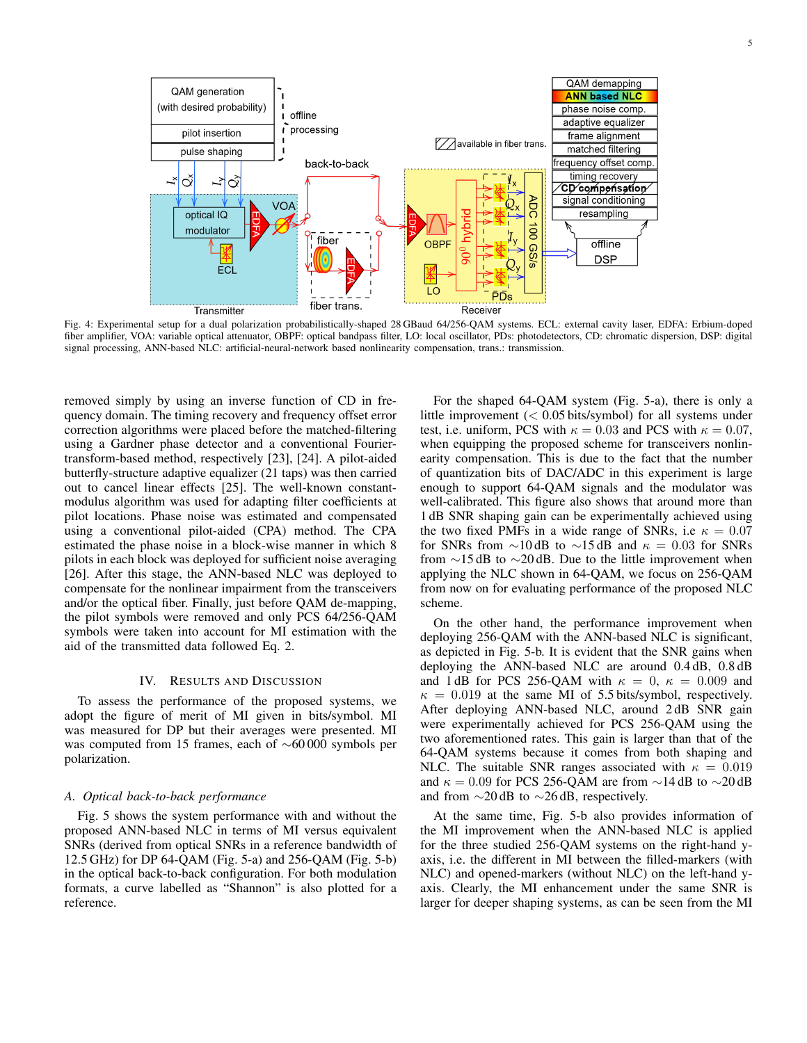

Fig. 4: Experimental setup for a dual polarization probabilistically-shaped 28 GBaud 64/256-QAM systems. ECL: external cavity laser, EDFA: Erbium-doped fiber amplifier, VOA: variable optical attenuator, OBPF: optical bandpass filter, LO: local oscillator, PDs: photodetectors, CD: chromatic dispersion, DSP: digital signal processing, ANN-based NLC: artificial-neural-network based nonlinearity compensation, trans.: transmission.

removed simply by using an inverse function of CD in frequency domain. The timing recovery and frequency offset error correction algorithms were placed before the matched-filtering using a Gardner phase detector and a conventional Fouriertransform-based method, respectively [23], [24]. A pilot-aided butterfly-structure adaptive equalizer (21 taps) was then carried out to cancel linear effects [25]. The well-known constantmodulus algorithm was used for adapting filter coefficients at pilot locations. Phase noise was estimated and compensated using a conventional pilot-aided (CPA) method. The CPA estimated the phase noise in a block-wise manner in which 8 pilots in each block was deployed for sufficient noise averaging [26]. After this stage, the ANN-based NLC was deployed to compensate for the nonlinear impairment from the transceivers and/or the optical fiber. Finally, just before QAM de-mapping, the pilot symbols were removed and only PCS 64/256-QAM symbols were taken into account for MI estimation with the aid of the transmitted data followed Eq. 2.

# IV. RESULTS AND DISCUSSION

To assess the performance of the proposed systems, we adopt the figure of merit of MI given in bits/symbol. MI was measured for DP but their averages were presented. MI was computed from 15 frames, each of ∼60 000 symbols per polarization.

# *A. Optical back-to-back performance*

Fig. 5 shows the system performance with and without the proposed ANN-based NLC in terms of MI versus equivalent SNRs (derived from optical SNRs in a reference bandwidth of 12.5 GHz) for DP 64-QAM (Fig. 5-a) and 256-QAM (Fig. 5-b) in the optical back-to-back configuration. For both modulation formats, a curve labelled as "Shannon" is also plotted for a reference.

For the shaped 64-QAM system (Fig. 5-a), there is only a little improvement (< 0.05 bits/symbol) for all systems under test, i.e. uniform, PCS with  $\kappa = 0.03$  and PCS with  $\kappa = 0.07$ , when equipping the proposed scheme for transceivers nonlinearity compensation. This is due to the fact that the number of quantization bits of DAC/ADC in this experiment is large enough to support 64-QAM signals and the modulator was well-calibrated. This figure also shows that around more than 1 dB SNR shaping gain can be experimentally achieved using the two fixed PMFs in a wide range of SNRs, i.e  $\kappa = 0.07$ for SNRs from ∼10 dB to ∼15 dB and  $\kappa = 0.03$  for SNRs from ∼15 dB to ∼20 dB. Due to the little improvement when applying the NLC shown in 64-QAM, we focus on 256-QAM from now on for evaluating performance of the proposed NLC scheme.

On the other hand, the performance improvement when deploying 256-QAM with the ANN-based NLC is significant, as depicted in Fig. 5-b. It is evident that the SNR gains when deploying the ANN-based NLC are around 0.4 dB, 0.8 dB and 1 dB for PCS 256-QAM with  $\kappa = 0$ ,  $\kappa = 0.009$  and  $\kappa = 0.019$  at the same MI of 5.5 bits/symbol, respectively. After deploying ANN-based NLC, around 2dB SNR gain were experimentally achieved for PCS 256-QAM using the two aforementioned rates. This gain is larger than that of the 64-QAM systems because it comes from both shaping and NLC. The suitable SNR ranges associated with  $\kappa = 0.019$ and  $\kappa = 0.09$  for PCS 256-QAM are from ~14 dB to ~20 dB and from ∼20 dB to ∼26 dB, respectively.

At the same time, Fig. 5-b also provides information of the MI improvement when the ANN-based NLC is applied for the three studied 256-QAM systems on the right-hand yaxis, i.e. the different in MI between the filled-markers (with NLC) and opened-markers (without NLC) on the left-hand yaxis. Clearly, the MI enhancement under the same SNR is larger for deeper shaping systems, as can be seen from the MI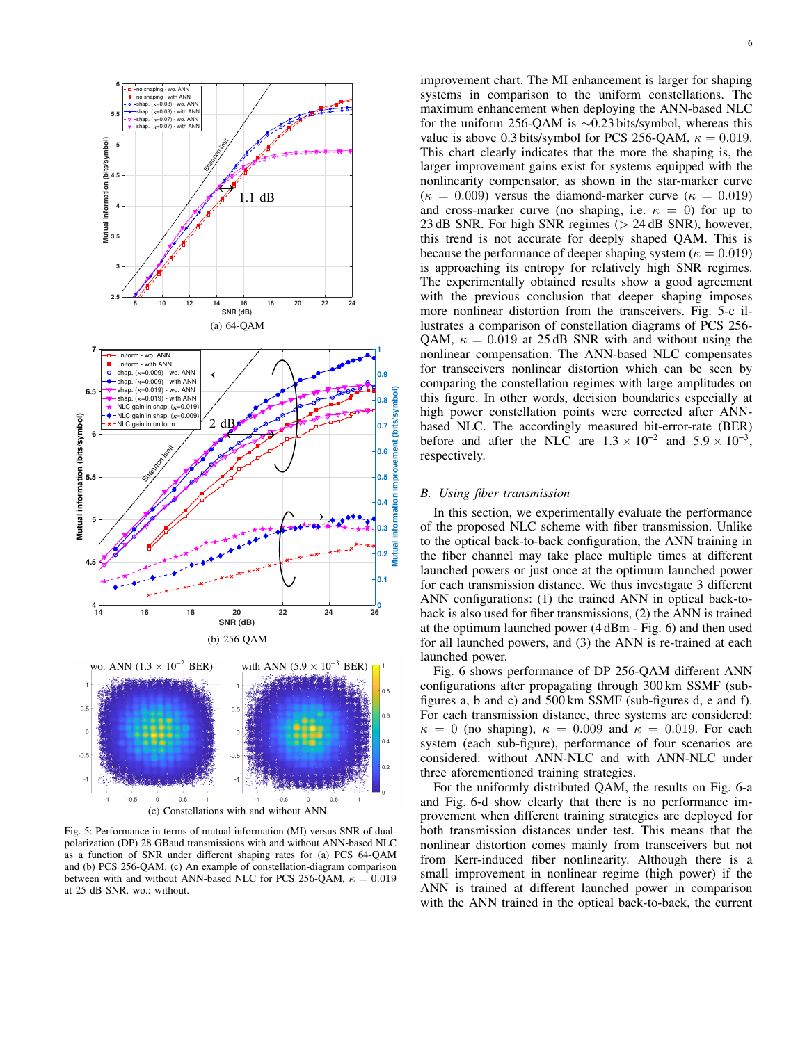

Fig. 5: Performance in terms of mutual information (MI) versus SNR of dualpolarization (DP) 28 GBaud transmissions with and without ANN-based NLC as a function of SNR under different shaping rates for (a) PCS 64-QAM and (b) PCS 256-QAM. (c) An example of constellation-diagram comparison between with and without ANN-based NLC for PCS 256-QAM,  $\kappa = 0.019$ at 25 dB SNR. wo.: without.

improvement chart. The MI enhancement is larger for shaping systems in comparison to the uniform constellations. The maximum enhancement when deploying the ANN-based NLC for the uniform 256-QAM is ∼0.23 bits/symbol, whereas this value is above 0.3 bits/symbol for PCS 256-QAM,  $\kappa = 0.019$ . This chart clearly indicates that the more the shaping is, the larger improvement gains exist for systems equipped with the nonlinearity compensator, as shown in the star-marker curve ( $\kappa = 0.009$ ) versus the diamond-marker curve ( $\kappa = 0.019$ ) and cross-marker curve (no shaping, i.e.  $\kappa = 0$ ) for up to 23 dB SNR. For high SNR regimes (> 24 dB SNR), however, this trend is not accurate for deeply shaped QAM. This is because the performance of deeper shaping system ( $\kappa = 0.019$ ) is approaching its entropy for relatively high SNR regimes. The experimentally obtained results show a good agreement with the previous conclusion that deeper shaping imposes more nonlinear distortion from the transceivers. Fig. 5-c illustrates a comparison of constellation diagrams of PCS 256- QAM,  $\kappa = 0.019$  at 25 dB SNR with and without using the nonlinear compensation. The ANN-based NLC compensates for transceivers nonlinear distortion which can be seen by comparing the constellation regimes with large amplitudes on this figure. In other words, decision boundaries especially at high power constellation points were corrected after ANNbased NLC. The accordingly measured bit-error-rate (BER) before and after the NLC are  $1.3 \times 10^{-2}$  and  $5.9 \times 10^{-3}$ , respectively.

# *B. Using fiber transmission*

In this section, we experimentally evaluate the performance of the proposed NLC scheme with fiber transmission. Unlike to the optical back-to-back configuration, the ANN training in the fiber channel may take place multiple times at different launched powers or just once at the optimum launched power for each transmission distance. We thus investigate 3 different ANN configurations: (1) the trained ANN in optical back-toback is also used for fiber transmissions, (2) the ANN is trained at the optimum launched power (4 dBm - Fig. 6) and then used for all launched powers, and (3) the ANN is re-trained at each launched power.

Fig. 6 shows performance of DP 256-QAM different ANN configurations after propagating through 300 km SSMF (subfigures a, b and c) and 500 km SSMF (sub-figures d, e and f). For each transmission distance, three systems are considered:  $\kappa = 0$  (no shaping),  $\kappa = 0.009$  and  $\kappa = 0.019$ . For each system (each sub-figure), performance of four scenarios are considered: without ANN-NLC and with ANN-NLC under three aforementioned training strategies.

For the uniformly distributed QAM, the results on Fig. 6-a and Fig. 6-d show clearly that there is no performance improvement when different training strategies are deployed for both transmission distances under test. This means that the nonlinear distortion comes mainly from transceivers but not from Kerr-induced fiber nonlinearity. Although there is a small improvement in nonlinear regime (high power) if the ANN is trained at different launched power in comparison with the ANN trained in the optical back-to-back, the current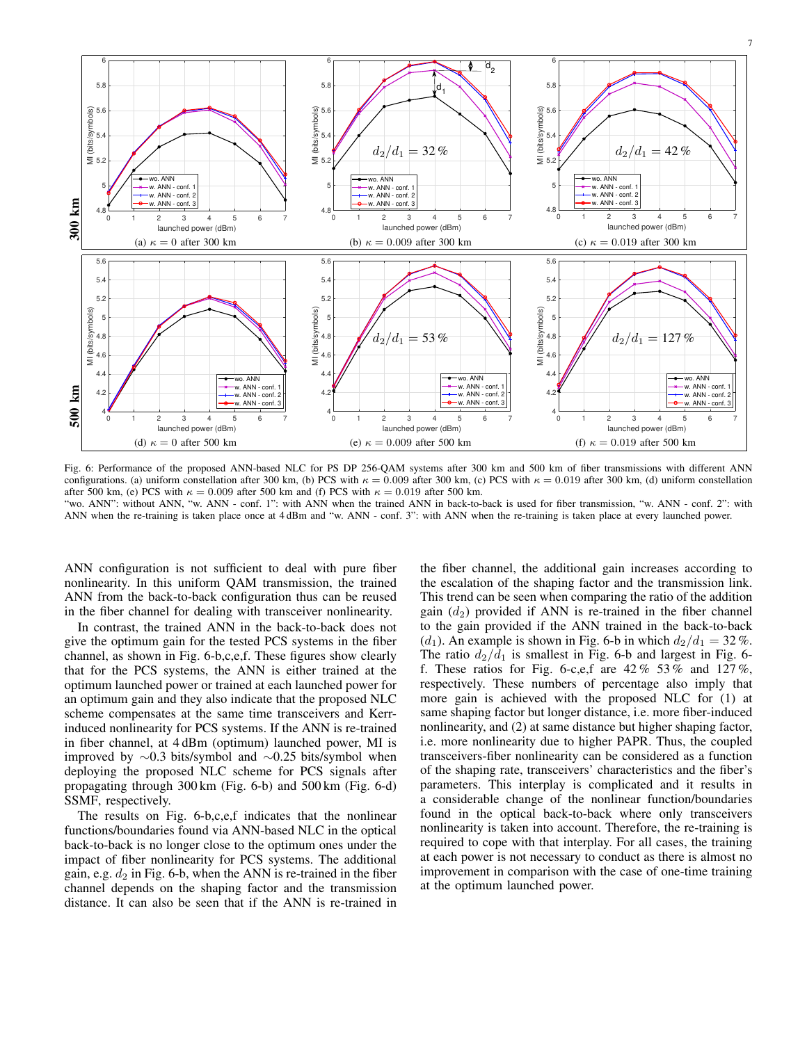

Fig. 6: Performance of the proposed ANN-based NLC for PS DP 256-QAM systems after 300 km and 500 km of fiber transmissions with different ANN configurations. (a) uniform constellation after 300 km, (b) PCS with  $\kappa = 0.009$  after 300 km, (c) PCS with  $\kappa = 0.019$  after 300 km, (d) uniform constellation after 500 km, (e) PCS with  $\kappa = 0.009$  after 500 km and (f) PCS with  $\kappa = 0.019$  after 500 km. "wo. ANN": without ANN, "w. ANN - conf. 1": with ANN when the trained ANN in back-to-back is used for fiber transmission, "w. ANN - conf. 2": with ANN when the re-training is taken place once at 4 dBm and "w. ANN - conf. 3": with ANN when the re-training is taken place at every launched power.

ANN configuration is not sufficient to deal with pure fiber nonlinearity. In this uniform QAM transmission, the trained ANN from the back-to-back configuration thus can be reused in the fiber channel for dealing with transceiver nonlinearity.

In contrast, the trained ANN in the back-to-back does not give the optimum gain for the tested PCS systems in the fiber channel, as shown in Fig. 6-b,c,e,f. These figures show clearly that for the PCS systems, the ANN is either trained at the optimum launched power or trained at each launched power for an optimum gain and they also indicate that the proposed NLC scheme compensates at the same time transceivers and Kerrinduced nonlinearity for PCS systems. If the ANN is re-trained in fiber channel, at 4 dBm (optimum) launched power, MI is improved by ∼0.3 bits/symbol and ∼0.25 bits/symbol when deploying the proposed NLC scheme for PCS signals after propagating through 300 km (Fig. 6-b) and 500 km (Fig. 6-d) SSMF, respectively.

The results on Fig. 6-b,c,e,f indicates that the nonlinear functions/boundaries found via ANN-based NLC in the optical back-to-back is no longer close to the optimum ones under the impact of fiber nonlinearity for PCS systems. The additional gain, e.g.  $d_2$  in Fig. 6-b, when the ANN is re-trained in the fiber channel depends on the shaping factor and the transmission distance. It can also be seen that if the ANN is re-trained in the fiber channel, the additional gain increases according to the escalation of the shaping factor and the transmission link. This trend can be seen when comparing the ratio of the addition gain  $(d_2)$  provided if ANN is re-trained in the fiber channel to the gain provided if the ANN trained in the back-to-back (d<sub>1</sub>). An example is shown in Fig. 6-b in which  $d_2/d_1 = 32\%$ . The ratio  $d_2/d_1$  is smallest in Fig. 6-b and largest in Fig. 6f. These ratios for Fig. 6-c, e, f are  $42\%$  53% and  $127\%$ , respectively. These numbers of percentage also imply that more gain is achieved with the proposed NLC for (1) at same shaping factor but longer distance, i.e. more fiber-induced nonlinearity, and (2) at same distance but higher shaping factor, i.e. more nonlinearity due to higher PAPR. Thus, the coupled transceivers-fiber nonlinearity can be considered as a function of the shaping rate, transceivers' characteristics and the fiber's parameters. This interplay is complicated and it results in a considerable change of the nonlinear function/boundaries found in the optical back-to-back where only transceivers nonlinearity is taken into account. Therefore, the re-training is required to cope with that interplay. For all cases, the training at each power is not necessary to conduct as there is almost no improvement in comparison with the case of one-time training at the optimum launched power.